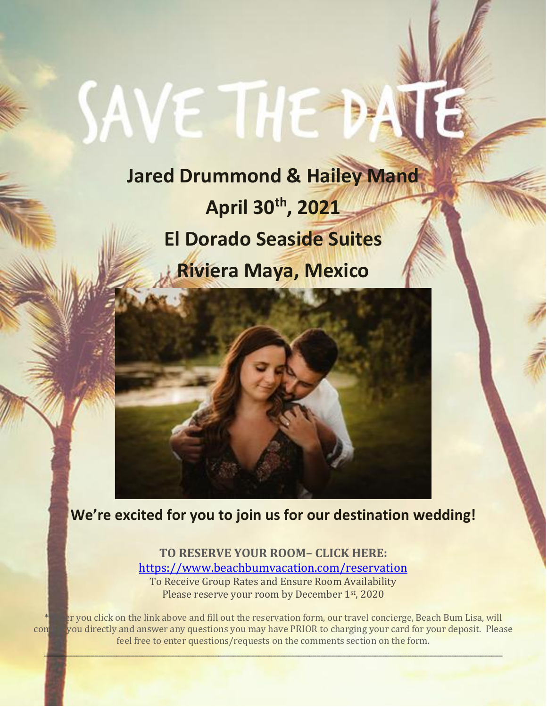# **SAVE THE**

**Jared Drummond & Hailey Mand April 30th, 2021 El Dorado Seaside Suites Riviera Maya, Mexico**

**We're excited for you to join us for our destination wedding!**

**TO RESERVE YOUR ROOM– CLICK HERE:**  <https://www.beachbumvacation.com/reservation>

To Receive Group Rates and Ensure Room Availability Please reserve your room by December 1st, 2020

 $\mathcal{L} = \{ \mathcal{L} \in \mathcal{L} \mid \mathcal{L} \in \mathcal{L} \}$ 

If you click on the link above and fill out the reservation form, our travel concierge, Beach Bum Lisa, will contactly and answer any questions you may have PRIOR to charging your card for your deposit. Please feel free to enter questions/requests on the comments section on the form.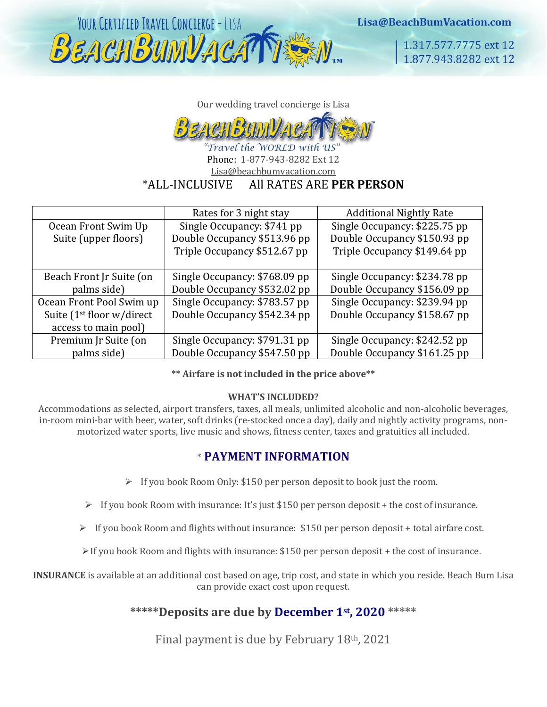

Lisa@BeachBumVacation.com

1.317.577.7775 ext 12 1.877.943.8282 ext 12

Our wedding travel concierge is Lisa



'Travel the WORLD with US' Phone: 1-877-943-8282 Ext 12 Lisa@beachbumvacation.com \*ALL-INCLUSIVE All RATES ARE **PER PERSON**

|                                       | Rates for 3 night stay        | <b>Additional Nightly Rate</b> |
|---------------------------------------|-------------------------------|--------------------------------|
| Ocean Front Swim Up                   | Single Occupancy: \$741 pp    | Single Occupancy: \$225.75 pp  |
| Suite (upper floors)                  | Double Occupancy \$513.96 pp  | Double Occupancy \$150.93 pp   |
|                                       | Triple Occupancy \$512.67 pp  | Triple Occupancy \$149.64 pp   |
|                                       |                               |                                |
| Beach Front Jr Suite (on              | Single Occupancy: \$768.09 pp | Single Occupancy: \$234.78 pp  |
| palms side)                           | Double Occupancy \$532.02 pp  | Double Occupancy \$156.09 pp   |
| Ocean Front Pool Swim up              | Single Occupancy: \$783.57 pp | Single Occupancy: \$239.94 pp  |
| Suite (1 <sup>st</sup> floor w/direct | Double Occupancy \$542.34 pp  | Double Occupancy \$158.67 pp   |
| access to main pool)                  |                               |                                |
| Premium Jr Suite (on                  | Single Occupancy: \$791.31 pp | Single Occupancy: \$242.52 pp  |
| palms side)                           | Double Occupancy \$547.50 pp  | Double Occupancy \$161.25 pp   |

**\*\* Airfare is not included in the price above\*\*** 

### **WHAT'S INCLUDED?**

Accommodations as selected, airport transfers, taxes, all meals, unlimited alcoholic and non-alcoholic beverages, in-room mini-bar with beer, water, soft drinks (re-stocked once a day), daily and nightly activity programs, nonmotorized water sports, live music and shows, fitness center, taxes and gratuities all included.

### \* **PAYMENT INFORMATION**

- ➢ If you book Room Only: \$150 per person deposit to book just the room.
- $\triangleright$  If you book Room with insurance: It's just \$150 per person deposit + the cost of insurance.
- ➢ If you book Room and flights without insurance: \$150 per person deposit + total airfare cost.
- $\triangleright$  If you book Room and flights with insurance: \$150 per person deposit + the cost of insurance.

**INSURANCE** is available at an additional cost based on age, trip cost, and state in which you reside. Beach Bum Lisa can provide exact cost upon request.

### **\*\*\*\*\*Deposits are due by December 1st, 2020 \*\*\*\*\***

Final payment is due by February 18th, 2021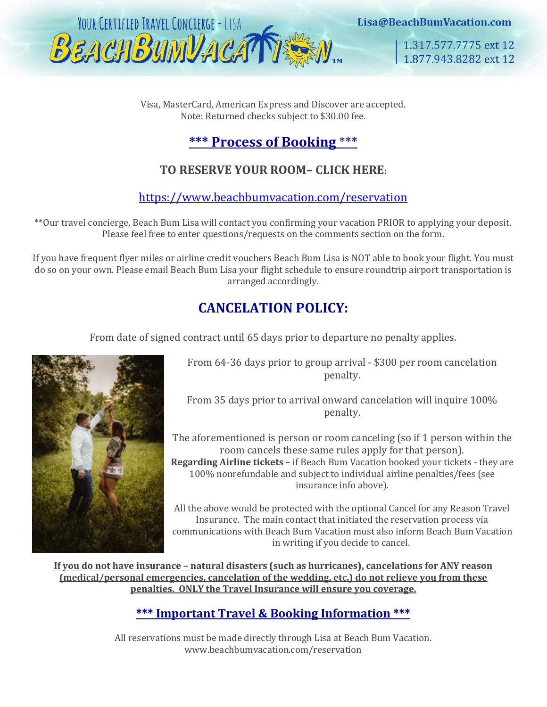

Lisa@BeachBumVacation.com

1.317.577.7775 ext 12 1.877.943.8282 ext 12

Visa, MasterCard, American Express and Discover are accepted. Note: Returned checks subject to \$30.00 fee.

# **\*\*\* Process of Booking** \*\*\*

# **TO RESERVE YOUR ROOM– CLICK HERE:**

<https://www.beachbumvacation.com/reservation>

\*\*Our travel concierge, Beach Bum Lisa will contact you confirming your vacation PRIOR to applying your deposit. Please feel free to enter questions/requests on the comments section on the form.

If you have frequent flyer miles or airline credit vouchers Beach Bum Lisa is NOT able to book your flight. You must do so on your own. Please email Beach Bum Lisa your flight schedule to ensure roundtrip airport transportation is arranged accordingly.

# **CANCELATION POLICY:**

From date of signed contract until 65 days prior to departure no penalty applies.



From 64-36 days prior to group arrival - \$300 per room cancelation penalty.

From 35 days prior to arrival onward cancelation will inquire 100% penalty.

The aforementioned is person or room canceling (so if 1 person within the room cancels these same rules apply for that person). **Regarding Airline tickets** – if Beach Bum Vacation booked your tickets - they are 100% nonrefundable and subject to individual airline penalties/fees (see insurance info above).

All the above would be protected with the optional Cancel for any Reason Travel Insurance. The main contact that initiated the reservation process via communications with Beach Bum Vacation must also inform Beach Bum Vacation in writing if you decide to cancel.

**If you do not have insurance – natural disasters (such as hurricanes), cancelations for ANY reason (medical/personal emergencies, cancelation of the wedding, etc.) do not relieve you from these penalties. ONLY the Travel Insurance will ensure you coverage.**

# **\*\*\* Important Travel & Booking Information \*\*\***

All reservations must be made directly through Lisa at Beach Bum Vacation. [www.beachbumvacation.com/reservation](http://www.beachbumvacation.com/reservation)